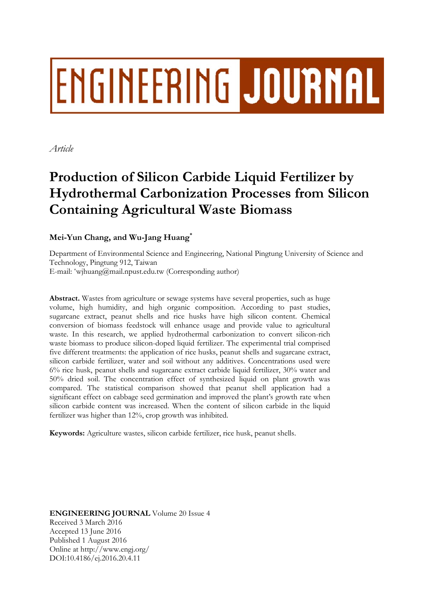# ENGINEERING JOURNAL

*Article* 

## **Production of Silicon Carbide Liquid Fertilizer by Hydrothermal Carbonization Processes from Silicon Containing Agricultural Waste Biomass**

### **Mei-Yun Chang, and Wu-Jang Huang\***

Department of Environmental Science and Engineering, National Pingtung University of Science and Technology, Pingtung 912, Taiwan E-mail: \*wjhuang@mail.npust.edu.tw (Corresponding author)

**Abstract.** Wastes from agriculture or sewage systems have several properties, such as huge volume, high humidity, and high organic composition. According to past studies, sugarcane extract, peanut shells and rice husks have high silicon content. Chemical conversion of biomass feedstock will enhance usage and provide value to agricultural waste. In this research, we applied hydrothermal carbonization to convert silicon-rich waste biomass to produce silicon-doped liquid fertilizer. The experimental trial comprised five different treatments: the application of rice husks, peanut shells and sugarcane extract, silicon carbide fertilizer, water and soil without any additives. Concentrations used were 6% rice husk, peanut shells and sugarcane extract carbide liquid fertilizer, 30% water and 50% dried soil. The concentration effect of synthesized liquid on plant growth was compared. The statistical comparison showed that peanut shell application had a significant effect on cabbage seed germination and improved the plant's growth rate when silicon carbide content was increased. When the content of silicon carbide in the liquid fertilizer was higher than 12%, crop growth was inhibited.

**Keywords:** Agriculture wastes, silicon carbide fertilizer, rice husk, peanut shells.

**ENGINEERING JOURNAL** Volume 20 Issue 4 Received 3 March 2016 Accepted 13 June 2016 Published 1 August 2016 Online at http://www.engj.org/ DOI:10.4186/ej.2016.20.4.11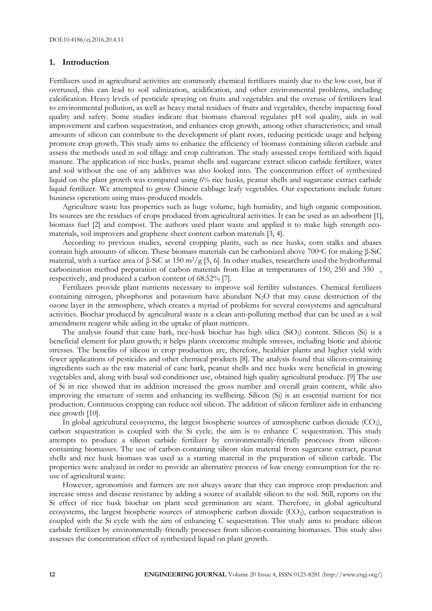#### **1. Introduction**

Fertilizers used in agricultural activities are commonly chemical fertilizers mainly due to the low cost, but if overused, this can lead to soil salinization, acidification, and other environmental problems, including calcification. Heavy levels of pesticide spraying on fruits and vegetables and the overuse of fertilizers lead to environmental pollution, as well as heavy metal residues of fruits and vegetables, thereby impacting food quality and safety. Some studies indicate that biomass charcoal regulates pH soil quality, aids in soil improvement and carbon sequestration, and enhances crop growth, among other characteristics; and small amounts of silicon can contribute to the development of plant roots, reducing pesticide usage and helping promote crop growth. This study aims to enhance the efficiency of biomass containing silicon carbide and assess the methods used in soil tillage and crop cultivation. The study assessed crops fertilized with liquid manure. The application of rice husks, peanut shells and sugarcane extract silicon carbide fertilizer, water and soil without the use of any additives was also looked into. The concentration effect of synthesized liquid on the plant growth was compared using 6% rice husks, peanut shells and sugarcane extract carbide liquid fertilizer. We attempted to grow Chinese cabbage leafy vegetables. Our expectations include future business operations using mass-produced models.

Agriculture waste has properties such as huge volume, high humidity, and high organic composition. Its sources are the residues of crops produced from agricultural activities. It can be used as an adsorbent [1], biomass fuel [2] and compost. The authors used plant waste and applied it to make high strength ecomaterials, soil improvers and graphene sheet content carbon materials [3, 4].

According to previous studies, several cropping plants, such as rice husks, corn stalks and abases contain high amounts of silicon. These biomass materials can be carbonized above 700oC for making β-SiC material, with a surface area of β-SiC at 150 m2/g [5, 6]. In other studies, researchers used the hydrothermal carbonization method preparation of carbon materials from Elae at temperatures of 150, 250 and 350, respectively, and produced a carbon content of 68.52% [7].

Fertilizers provide plant nutrients necessary to improve soil fertility substances. Chemical fertilizers containing nitrogen, phosphorus and potassium have abundant N<sub>2</sub>O that may cause destruction of the ozone layer in the atmosphere, which creates a myriad of problems for several ecosystems and agricultural activities. Biochar produced by agricultural waste is a clean anti-polluting method that can be used as a soil amendment reagent while aiding in the uptake of plant nutrients.

The analysis found that cane bark, rice-husk biochar has high silica  $(SiO<sub>2</sub>)$  content. Silicon  $(Si)$  is a beneficial element for plant growth; it helps plants overcome multiple stresses, including biotic and abiotic stresses. The benefits of silicon in crop production are, therefore, healthier plants and higher yield with fewer applications of pesticides and other chemical products [8]. The analysis found that silicon-containing ingredients such as the raw material of cane bark, peanut shells and rice husks were beneficial in growing vegetables and, along with basal soil conditioner use, obtained high quality agricultural produce. [9] The use of Si in rice showed that its addition increased the gross number and overall grain content, while also improving the structure of stems and enhancing its wellbeing. Silicon (Si) is an essential nutrient for rice production. Continuous cropping can reduce soil silicon. The addition of silicon fertilizer aids in enhancing rice growth [10].

In global agricultural ecosystems, the largest biospheric sources of atmospheric carbon dioxide  $(CO<sub>2</sub>)$ , carbon sequestration is coupled with the Si cycle; the aim is to enhance C sequestration. This study attempts to produce a silicon carbide fertilizer by environmentally-friendly processes from siliconcontaining biomasses. The use of carbon-containing silicon skin material from sugarcane extract, peanut shells and rice husk biomass was used as a starting material in the preparation of silicon carbide. The properties were analyzed in order to provide an alternative process of low energy consumption for the reuse of agricultural waste.

However, agronomists and farmers are not always aware that they can improve crop production and increase stress and disease resistance by adding a source of available silicon to the soil. Still, reports on the Si effect of rice husk biochar on plant seed germination are scant. Therefore, in global agricultural ecosystems, the largest biospheric sources of atmospheric carbon dioxide (CO<sub>2</sub>), carbon sequestration is coupled with the Si cycle with the aim of enhancing C sequestration. This study aims to produce silicon carbide fertilizer by environmentally-friendly processes from silicon-containing biomasses. This study also assesses the concentration effect of synthesized liquid on plant growth.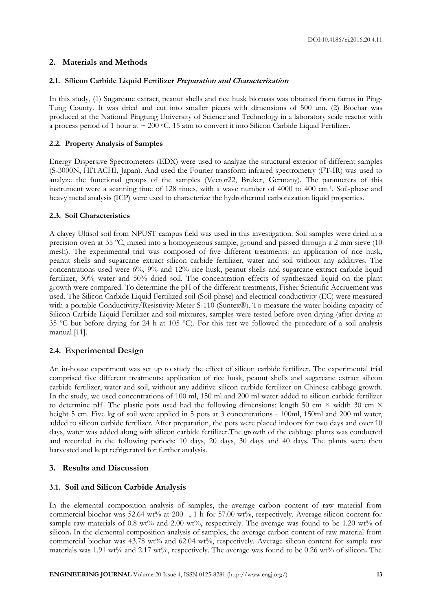#### **2. Materials and Methods**

#### **2.1. Silicon Carbide Liquid Fertilizer Preparation and Characterization**

In this study, (1) Sugarcane extract, peanut shells and rice husk biomass was obtained from farms in Ping-Tung County. It was dried and cut into smaller pieces with dimensions of 500 um. (2) Biochar was produced at the National Pingtung University of Science and Technology in a laboratory scale reactor with a process period of 1 hour at  $\sim 200$  °C, 15 atm to convert it into Silicon Carbide Liquid Fertilizer.

#### **2.2. Property Analysis of Samples**

Energy Dispersive Spectrometers (EDX) were used to analyze the structural exterior of different samples (S-3000N, HITACHI, Japan). And used the Fourier transform infrared spectrometry (FT-IR) was used to analyze the functional groups of the samples (Vector22, Bruker, Germany). The parameters of this instrument were a scanning time of 128 times, with a wave number of 4000 to 400 cm-1. Soil-phase and heavy metal analysis (ICP) were used to characterize the hydrothermal carbonization liquid properties.

#### **2.3. Soil Characteristics**

A clayey Ultisol soil from NPUST campus field was used in this investigation. Soil samples were dried in a precision oven at 35 ºC, mixed into a homogeneous sample, ground and passed through a 2 mm sieve (10 mesh). The experimental trial was composed of five different treatments: an application of rice husk, peanut shells and sugarcane extract silicon carbide fertilizer, water and soil without any additives. The concentrations used were 6%, 9% and 12% rice husk, peanut shells and sugarcane extract carbide liquid fertilizer, 30% water and 50% dried soil. The concentration effects of synthesized liquid on the plant growth were compared. To determine the pH of the different treatments, Fisher Scientific Accruement was used. The Silicon Carbide Liquid Fertilized soil (Soil-phase) and electrical conductivity (EC) were measured with a portable Conductivity/Resistivity Meter S-110 (Suntex®). To measure the water holding capacity of Silicon Carbide Liquid Fertilizer and soil mixtures, samples were tested before oven drying (after drying at 35 ºC but before drying for 24 h at 105 ºC). For this test we followed the procedure of a soil analysis manual [11].

#### **2.4. Experimental Design**

An in-house experiment was set up to study the effect of silicon carbide fertilizer. The experimental trial comprised five different treatments: application of rice husk, peanut shells and sugarcane extract silicon carbide fertilizer, water and soil, without any additive silicon carbide fertilizer on Chinese cabbage growth. In the study, we used concentrations of 100 ml, 150 ml and 200 ml water added to silicon carbide fertilizer to determine pH. The plastic pots used had the following dimensions: length 50 cm  $\times$  width 30 cm  $\times$ height 5 cm. Five kg of soil were applied in 5 pots at 3 concentrations - 100ml, 150ml and 200 ml water, added to silicon carbide fertilizer. After preparation, the pots were placed indoors for two days and over 10 days, water was added along with silicon carbide fertilizer.The growth of the cabbage plants was conducted and recorded in the following periods: 10 days, 20 days, 30 days and 40 days. The plants were then harvested and kept refrigerated for further analysis.

#### **3. Results and Discussion**

#### **3.1. Soil and Silicon Carbide Analysis**

In the elemental composition analysis of samples, the average carbon content of raw material from commercial biochar was 52.64 wt% at 200, 1 h for 57.00 wt%, respectively. Average silicon content for sample raw materials of 0.8 wt% and 2.00 wt%, respectively. The average was found to be 1.20 wt% of silicon**.** In the elemental composition analysis of samples, the average carbon content of raw material from commercial biochar was 43.78 wt% and 62.04 wt%, respectively. Average silicon content for sample raw materials was 1.91 wt% and 2.17 wt%, respectively. The average was found to be 0.26 wt% of silicon**.** The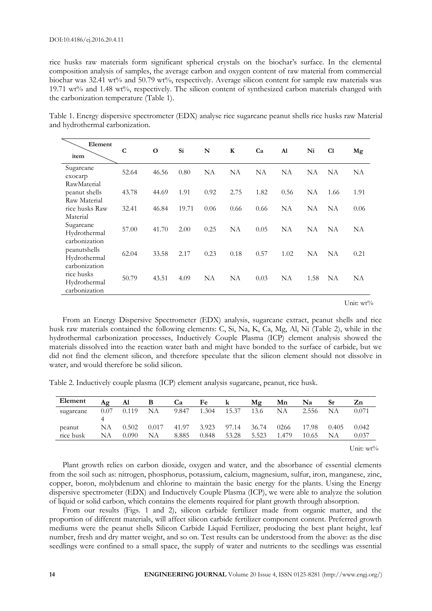rice husks raw materials form significant spherical crystals on the biochar's surface. In the elemental composition analysis of samples, the average carbon and oxygen content of raw material from commercial biochar was 32.41 wt% and 50.79 wt%, respectively. Average silicon content for sample raw materials was 19.71 wt% and 1.48 wt%, respectively. The silicon content of synthesized carbon materials changed with the carbonization temperature (Table 1).

Table 1. Energy dispersive spectrometer (EDX) analyse rice sugarcane peanut shells rice husks raw Material and hydrothermal carbonization.

| Element<br>item                               | $\mathbf C$ | $\mathbf 0$ | Si    | N    | $\mathbf K$ | Ca   | Al   | Ni   | C1   | Mg   |
|-----------------------------------------------|-------------|-------------|-------|------|-------------|------|------|------|------|------|
| Sugarcane<br>exocarp                          | 52.64       | 46.56       | 0.80  | NA   | NA          | NA   | NA   | NA   | NA   | NA   |
| RawMaterial<br>peanut shells<br>Raw Material  | 43.78       | 44.69       | 1.91  | 0.92 | 2.75        | 1.82 | 0.56 | NA   | 1.66 | 1.91 |
| rice husks Raw<br>Material                    | 32.41       | 46.84       | 19.71 | 0.06 | 0.66        | 0.66 | NA   | NA   | NA   | 0.06 |
| Sugarcane<br>Hydrothermal<br>carbonization    | 57.00       | 41.70       | 2.00  | 0.25 | NA          | 0.05 | NA   | NΑ   | NA   | NA   |
| peanutshells<br>Hydrothermal<br>carbonization | 62.04       | 33.58       | 2.17  | 0.23 | 0.18        | 0.57 | 1.02 | NA   | NA   | 0.21 |
| rice husks<br>Hydrothermal<br>carbonization   | 50.79       | 43.51       | 4.09  | NA   | NA          | 0.03 | NA   | 1.58 | NA   | NA   |

Unit: wt%

From an Energy Dispersive Spectrometer (EDX) analysis, sugarcane extract, peanut shells and rice husk raw materials contained the following elements: C, Si, Na, K, Ca, Mg, Al, Ni (Table 2), while in the hydrothermal carbonization processes, Inductively Couple Plasma (ICP) element analysis showed the materials dissolved into the reaction water bath and might have bonded to the surface of carbide, but we did not find the element silicon, and therefore speculate that the silicon element should not dissolve in water, and would therefore be solid silicon.

Table 2. Inductively couple plasma (ICP) element analysis sugarcane, peanut, rice husk.

| Element             | Aœ       | Al             | В           | Ca             | Fe             | k              | Mg             | Mn            | Na             | Sr          | Zn             |
|---------------------|----------|----------------|-------------|----------------|----------------|----------------|----------------|---------------|----------------|-------------|----------------|
| sugarcane           | 0.07     | 0.119          | NΑ          | 9.847          | 1.304          | 15.37          | 13.6           | NA            | 2.556          | <b>NA</b>   | 0.071          |
| peanut<br>rice husk | NΑ<br>NA | 0.502<br>0.090 | 0.017<br>NΑ | 41.97<br>8.885 | 3.923<br>0.848 | 97.14<br>53.28 | 36.74<br>5.523 | 0266<br>1.479 | 17.98<br>10.65 | 0.405<br>NA | 0.042<br>0.037 |

Unit: wt%

Plant growth relies on carbon dioxide, oxygen and water, and the absorbance of essential elements from the soil such as: nitrogen, phosphorus, potassium, calcium, magnesium, sulfur, iron, manganese, zinc, copper, boron, molybdenum and chlorine to maintain the basic energy for the plants. Using the Energy dispersive spectrometer (EDX) and Inductively Couple Plasma (ICP), we were able to analyze the solution of liquid or solid carbon, which contains the elements required for plant growth through absorption.

From our results (Figs. 1 and 2), silicon carbide fertilizer made from organic matter, and the proportion of different materials, will affect silicon carbide fertilizer component content. Preferred growth mediums were the peanut shells Silicon Carbide Liquid Fertilizer, producing the best plant height, leaf number, fresh and dry matter weight, and so on. Test results can be understood from the above: as the disc seedlings were confined to a small space, the supply of water and nutrients to the seedlings was essential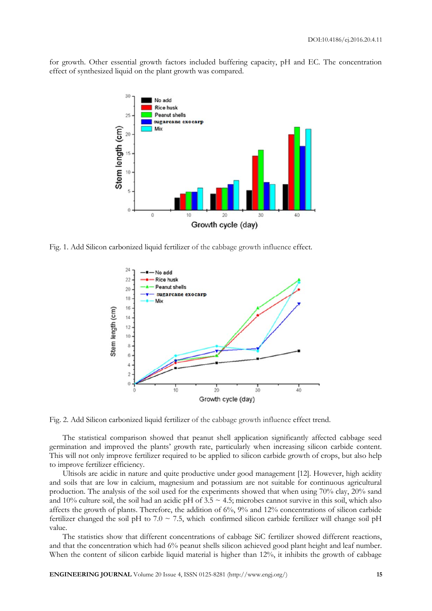for growth. Other essential growth factors included buffering capacity, pH and EC. The concentration effect of synthesized liquid on the plant growth was compared.



Fig. 1. Add Silicon carbonized liquid fertilizer of the cabbage growth influence effect.



Fig. 2. Add Silicon carbonized liquid fertilizer of the cabbage growth influence effect trend.

The statistical comparison showed that peanut shell application significantly affected cabbage seed germination and improved the plants' growth rate, particularly when increasing silicon carbide content. This will not only improve fertilizer required to be applied to silicon carbide growth of crops, but also help to improve fertilizer efficiency.

Ultisols are acidic in nature and quite productive under good management [12]. However, high acidity and soils that are low in calcium, magnesium and potassium are not suitable for continuous agricultural production. The analysis of the soil used for the experiments showed that when using 70% clay, 20% sand and 10% culture soil, the soil had an acidic pH of  $3.5 \sim 4.5$ ; microbes cannot survive in this soil, which also affects the growth of plants. Therefore, the addition of 6%, 9% and 12% concentrations of silicon carbide fertilizer changed the soil pH to  $7.0 \sim 7.5$ , which confirmed silicon carbide fertilizer will change soil pH value.

The statistics show that different concentrations of cabbage SiC fertilizer showed different reactions, and that the concentration which had 6% peanut shells silicon achieved good plant height and leaf number. When the content of silicon carbide liquid material is higher than 12%, it inhibits the growth of cabbage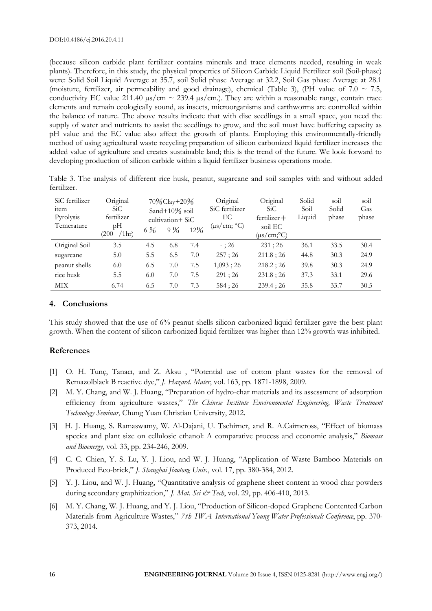(because silicon carbide plant fertilizer contains minerals and trace elements needed, resulting in weak plants). Therefore, in this study, the physical properties of Silicon Carbide Liquid Fertilizer soil (Soil-phase) were: Solid Soil Liquid Average at 35.7, soil Solid phase Average at 32.2, Soil Gas phase Average at 28.1 (moisture, fertilizer, air permeability and good drainage), chemical (Table 3), (PH value of 7.0  $\sim$  7.5, conductivity EC value 211.40  $\mu$ s/cm ~ 239.4  $\mu$ s/cm.). They are within a reasonable range, contain trace elements and remain ecologically sound, as insects, microorganisms and earthworms are controlled within the balance of nature. The above results indicate that with disc seedlings in a small space, you need the supply of water and nutrients to assist the seedlings to grow, and the soil must have buffering capacity as pH value and the EC value also affect the growth of plants. Employing this environmentally-friendly method of using agricultural waste recycling preparation of silicon carbonized liquid fertilizer increases the added value of agriculture and creates sustainable land; this is the trend of the future. We look forward to developing production of silicon carbide within a liquid fertilizer business operations mode.

|             |  |  |  | Table 3. The analysis of different rice husk, peanut, sugarcane and soil samples with and without added |  |  |  |  |
|-------------|--|--|--|---------------------------------------------------------------------------------------------------------|--|--|--|--|
| fertilizer. |  |  |  |                                                                                                         |  |  |  |  |

| SiC fertilizer<br><sub>1</sub> tem<br>Pyrolysis<br>Temerature | Original<br>SiC.<br>fertilizer<br>pН<br>/1hr<br>(200 | 6 % | $70\%$ Clay+20 $\%$<br>Sand+ $10\%$ soil<br>cultivation + SiC<br>9% | 12% | Original<br>SiC fertilizer<br>EС<br>$(\mu s/cm; °C)$ | Original<br>SiC<br>$fertilizer+$<br>soil EC<br>$(\mu s/cm; ^{\circ}C)$ | Solid<br>Soil<br>Liquid | soil<br>Solid<br>phase | soil<br>Gas<br>phase |
|---------------------------------------------------------------|------------------------------------------------------|-----|---------------------------------------------------------------------|-----|------------------------------------------------------|------------------------------------------------------------------------|-------------------------|------------------------|----------------------|
| Original Soil                                                 | 3.5                                                  | 4.5 | 6.8                                                                 | 7.4 | $-$ : 26                                             | 231:26                                                                 | 36.1                    | 33.5                   | 30.4                 |
| sugarcane                                                     | 5.0                                                  | 5.5 | 6.5                                                                 | 7.0 | 257;26                                               | 211.8:26                                                               | 44.8                    | 30.3                   | 24.9                 |
| peanut shells                                                 | 6.0                                                  | 6.5 | 7.0                                                                 | 7.5 | 1,093;26                                             | 218.2:26                                                               | 39.8                    | 30.3                   | 24.9                 |
| rice husk                                                     | 5.5                                                  | 6.0 | 7.0                                                                 | 7.5 | 291:26                                               | 231.8:26                                                               | 37.3                    | 33.1                   | 29.6                 |
| MIX                                                           | 6.74                                                 | 6.5 | 7.0                                                                 | 7.3 | 584:26                                               | 239.4:26                                                               | 35.8                    | 33.7                   | 30.5                 |

#### **4. Conclusions**

This study showed that the use of 6% peanut shells silicon carbonized liquid fertilizer gave the best plant growth. When the content of silicon carbonized liquid fertilizer was higher than 12% growth was inhibited.

#### **References**

- [1] O. H. Tunç, Tanacı, and Z. Aksu , "Potential use of cotton plant wastes for the removal of Remazolblack B reactive dye," *J. Hazard. Mater*, vol. 163, pp. 1871-1898, 2009.
- [2] M. Y. Chang, and W. J. Huang, "Preparation of hydro-char materials and its assessment of adsorption efficiency from agriculture wastes," *The Chinese Institute Environmental Engineering, Waste Treatment Technology Seminar*, Chung Yuan Christian University, 2012.
- [3] H. J. Huang, S. Ramaswamy, W. Al-Dajani, U. Tschirner, and R. A.Cairncross, "Effect of biomass species and plant size on cellulosic ethanol: A comparative process and economic analysis," *Biomass and Bioenergy*, vol. 33, pp. 234-246, 2009.
- [4] C. C. Chien, Y. S. Lu, Y. J. Liou, and W. J. Huang, "Application of Waste Bamboo Materials on Produced Eco-brick," *J. Shanghai Jiaotong Univ.*, vol. 17, pp. 380-384, 2012.
- [5] Y. J. Liou, and W. J. Huang, "Quantitative analysis of graphene sheet content in wood char powders during secondary graphitization," *J. Mat. Sci & Tech*, vol. 29, pp. 406-410, 2013.
- [6] M. Y. Chang, W. J. Huang, and Y. J. Liou, "Production of Silicon-doped Graphene Contented Carbon Materials from Agriculture Wastes," *7th IWA International Young Water Professionals Conference*, pp. 370- 373, 2014.